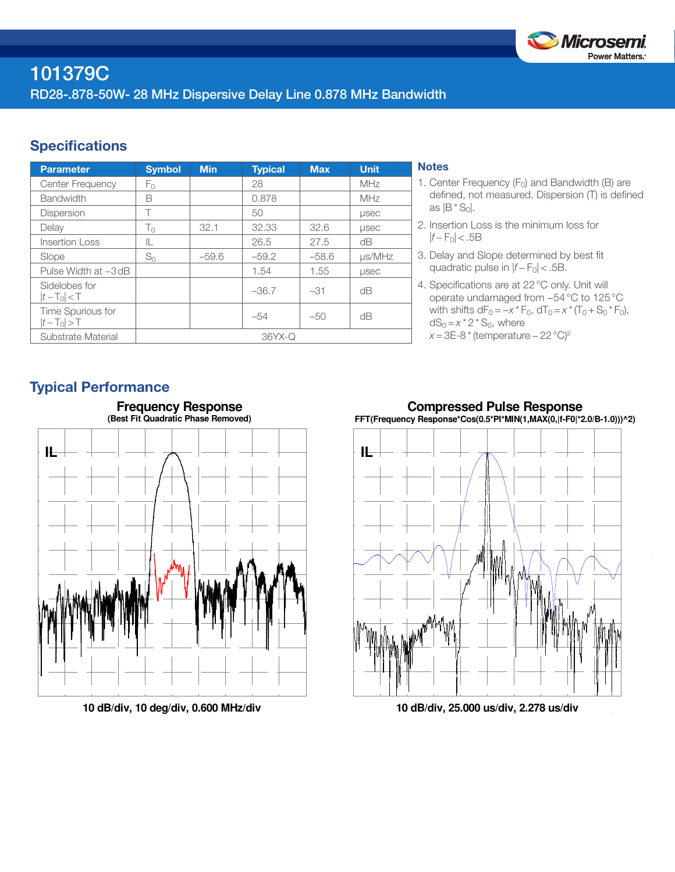

# 101379C RD28-.878-50W- 28 MHz Dispersive Delay Line 0.878 MHz Bandwidth

### **Specifications**

| <b>Parameter</b>                 | <b>Symbol</b> | <b>Min</b> | <b>Typical</b> | <b>Max</b> | <b>Unit</b>  |
|----------------------------------|---------------|------------|----------------|------------|--------------|
| Center Frequency                 | Fο            |            | 28             |            | <b>MHz</b>   |
| <b>Bandwidth</b>                 | B             |            | 0.878          |            | MHz          |
| <b>Dispersion</b>                | Т             |            | 50             |            | <b>LISEC</b> |
| Delay                            | $T_0$         | 32.1       | 32.33          | 32.6       | <b>LISEC</b> |
| <b>Insertion Loss</b>            | IL.           |            | 26.5           | 27.5       | dB           |
| Slope                            | $S_0$         | $-59.6$    | $-59.2$        | $-58.6$    | µs/MHz       |
| Pulse Width at -3dB              |               |            | 1.54           | 1.55       | <b>LISEC</b> |
| Sidelobes for<br>$ t-T_0  < T$   |               |            | $-36.7$        | $-31$      | dB           |
| Time Spurious for<br>$ t-T_0 >T$ |               |            | $-54$          | $-50$      | dΒ           |
| Substrate Material               | $36YX-Q$      |            |                |            |              |

#### **Notes**

- 1. Center Frequency  $(F_0)$  and Bandwidth (B) are defined, not measured. Dispersion (T) is defined as  $|B * S_0|$ .
- 2. Insertion Loss is the minimum loss for |*f* − F0| < .5B
- 3. Delay and Slope determined by best fit quadratic pulse in  $|f - F_0|$  < .5B.
- 4. Specifications are at 22°C only. Unit will operate undamaged from −54°C to 125°C with shifts  $dF_0 = -x * F_0$ ,  $dT_0 = x * (T_0 + S_0 * F_0)$ ,  $dS_0 = x^* 2^* S_0$ , where *x* = 3E-8 \* (temperature – 22 °C)<sup>2</sup>

## Typical Performance



**10 dB/div, 10 deg/div, 0.600 MHz/div**





**10 dB/div, 25.000 us/div, 2.278 us/div**